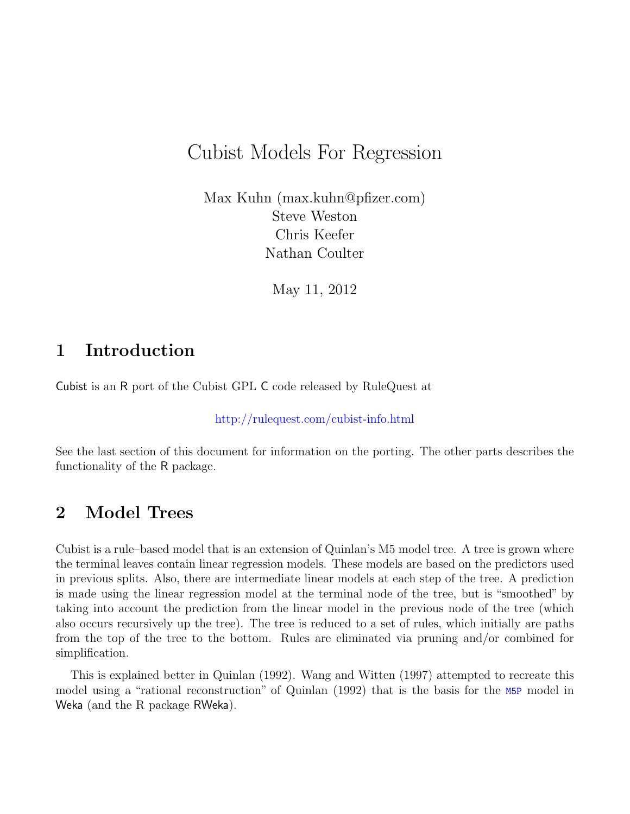# Cubist Models For Regression

Max Kuhn (max.kuhn@pfizer.com) Steve Weston Chris Keefer Nathan Coulter

May 11, 2012

### 1 Introduction

Cubist is an R port of the Cubist GPL C code released by RuleQuest at

<http://rulequest.com/cubist-info.html>

See the last section of this document for information on the porting. The other parts describes the functionality of the R package.

### 2 Model Trees

Cubist is a rule–based model that is an extension of Quinlan's M5 model tree. A tree is grown where the terminal leaves contain linear regression models. These models are based on the predictors used in previous splits. Also, there are intermediate linear models at each step of the tree. A prediction is made using the linear regression model at the terminal node of the tree, but is "smoothed" by taking into account the prediction from the linear model in the previous node of the tree (which also occurs recursively up the tree). The tree is reduced to a set of rules, which initially are paths from the top of the tree to the bottom. Rules are eliminated via pruning and/or combined for simplification.

This is explained better in Quinlan (1992). Wang and Witten (1997) attempted to recreate this model using a "rational reconstruction" of Quinlan (1992) that is the basis for the M5P model in Weka (and the R package RWeka).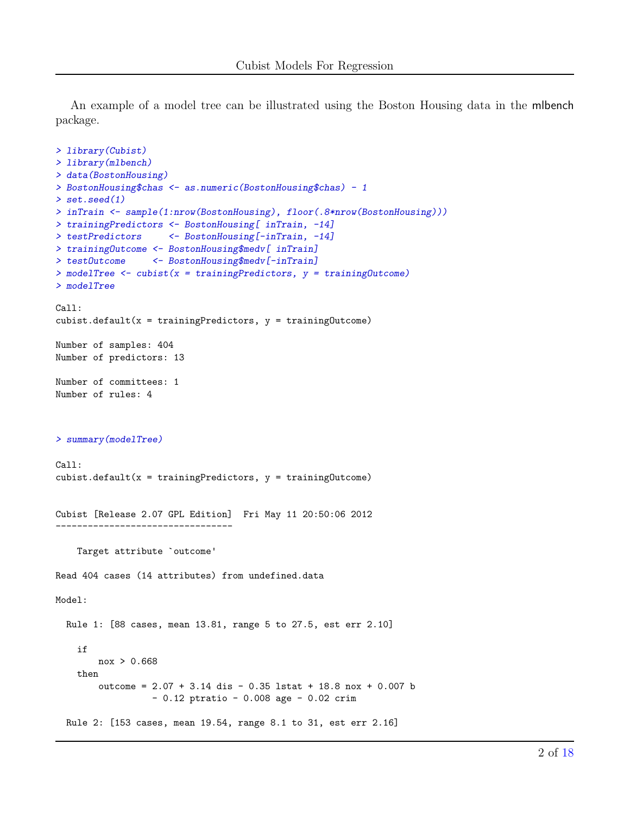An example of a model tree can be illustrated using the Boston Housing data in the mlbench package.

```
> library(Cubist)
> library(mlbench)
> data(BostonHousing)
> BostonHousing$chas <- as.numeric(BostonHousing$chas) - 1
> set.seed(1)
> inTrain <- sample(1:nrow(BostonHousing), floor(.8*nrow(BostonHousing)))
> trainingPredictors <- BostonHousing[ inTrain, -14]
> testPredictors <- BostonHousing[-inTrain, -14]
> trainingOutcome <- BostonHousing$medv[ inTrain]
> testOutcome <- BostonHousing$medv[-inTrain]
> modelTree <- cubist(x = trainingPredictors, y = trainingOutcome)
> modelTree
Call:
cubist.default(x = trainingPredictors, y = trainingDictome))
Number of samples: 404
Number of predictors: 13
Number of committees: 1
Number of rules: 4
> summary(modelTree)
Call:
cubist.default(x = trainingPredictors, y = trainingOutOfBoundsException)Cubist [Release 2.07 GPL Edition] Fri May 11 20:50:06 2012
---------------------------------
   Target attribute `outcome'
Read 404 cases (14 attributes) from undefined.data
Model:
 Rule 1: [88 cases, mean 13.81, range 5 to 27.5, est err 2.10]
   if
        nox > 0.668
   then
        outcome = 2.07 + 3.14 dis - 0.35 lstat + 18.8 nox + 0.007 b
                  - 0.12 ptratio - 0.008 age - 0.02 crim
 Rule 2: [153 cases, mean 19.54, range 8.1 to 31, est err 2.16]
```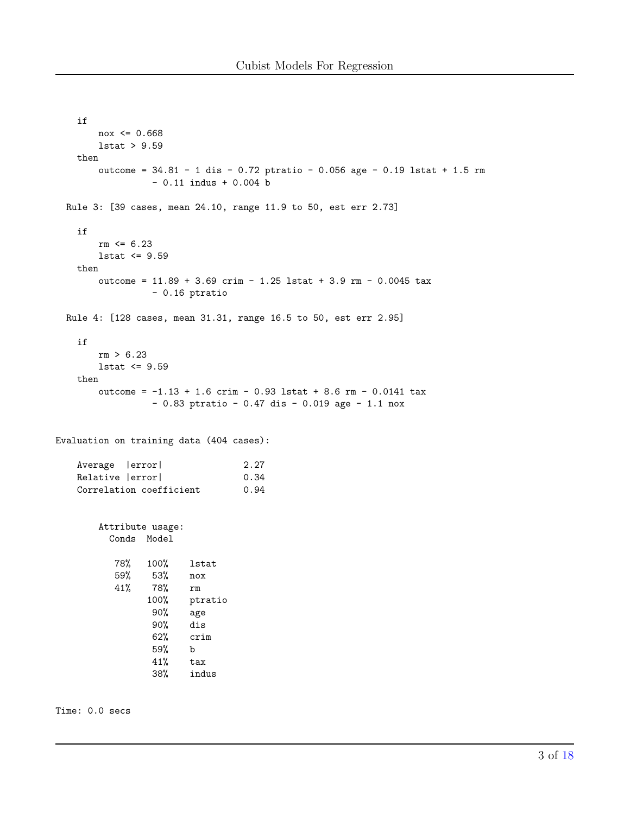```
if
       nov \le 0.668lstat > 9.59
   then
       outcome = 34.81 - 1 dis - 0.72 ptratio - 0.056 age - 0.19 lstat + 1.5 rm
                - 0.11 indus + 0.004 b
 Rule 3: [39 cases, mean 24.10, range 11.9 to 50, est err 2.73]
   if
       rm <= 6.23
       lstat <= 9.59
   then
       outcome = 11.89 + 3.69 crim - 1.25 lstat + 3.9 rm - 0.0045 tax
                - 0.16 ptratio
 Rule 4: [128 cases, mean 31.31, range 16.5 to 50, est err 2.95]
   if
       rm > 6.23
       lstat <= 9.59
   then
       outcome = -1.13 + 1.6 crim - 0.93 lstat + 8.6 rm - 0.0141 tax
                - 0.83 ptratio - 0.47 dis - 0.019 age - 1.1 nox
Evaluation on training data (404 cases):
   Average |error| 2.27
   Relative | error| 0.34
   Correlation coefficient 0.94
       Attribute usage:
         Conds Model
          78% 100% lstat
          59% 53% nox
          41% 78% rm
               100% ptratio
                90% age
                90% dis
                62% crim
                59% b
                41% tax<br>38% indu
                       indus
```
Time: 0.0 secs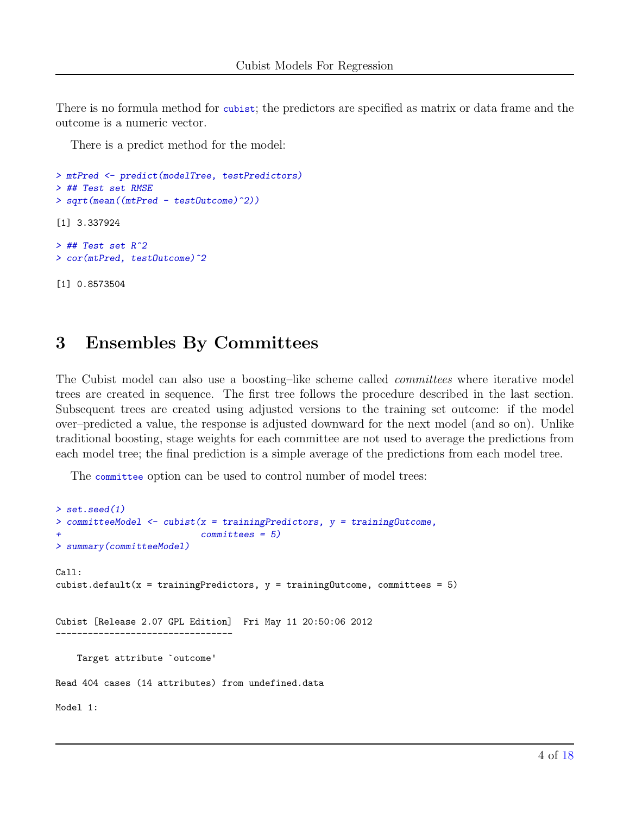There is no formula method for cubist; the predictors are specified as matrix or data frame and the outcome is a numeric vector.

There is a predict method for the model:

```
> mtPred <- predict(modelTree, testPredictors)
> ## Test set RMSE
> sqrt(mean((mtPred - testOutcome)^2))
[1] 3.337924
> ## Test set R^2
> cor(mtPred, testOutcome)^2
[1] 0.8573504
```
### 3 Ensembles By Committees

The Cubist model can also use a boosting–like scheme called *committees* where iterative model trees are created in sequence. The first tree follows the procedure described in the last section. Subsequent trees are created using adjusted versions to the training set outcome: if the model over–predicted a value, the response is adjusted downward for the next model (and so on). Unlike traditional boosting, stage weights for each committee are not used to average the predictions from each model tree; the final prediction is a simple average of the predictions from each model tree.

The committee option can be used to control number of model trees:

```
> set.seed(1)
> committeeModel <- cubist(x = trainingPredictors, y = trainingOutcome,
                            committees = 5)> summary(committeeModel)
Call:
cubist.default(x = trainingPredictors, y = trainingOutcome, committees = 5)Cubist [Release 2.07 GPL Edition] Fri May 11 20:50:06 2012
          ---------------------------------
    Target attribute `outcome'
Read 404 cases (14 attributes) from undefined.data
Model 1:
```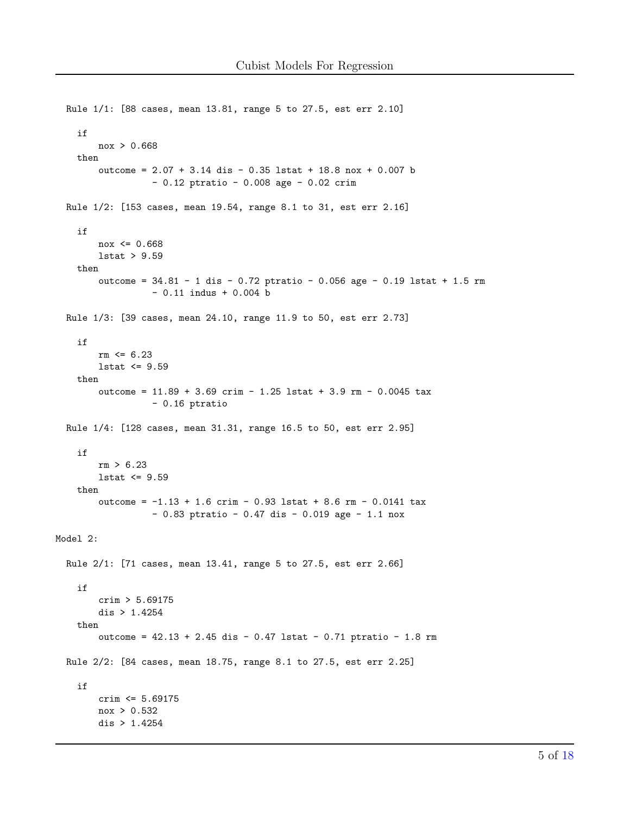```
Rule 1/1: [88 cases, mean 13.81, range 5 to 27.5, est err 2.10]
    if
        nov > 0.668then
        outcome = 2.07 + 3.14 dis - 0.35 lstat + 18.8 nox + 0.007 b
                 -0.12 ptratio -0.008 age -0.02 crim
  Rule 1/2: [153 cases, mean 19.54, range 8.1 to 31, est err 2.16]
    if
        nov \le 0.6681stat > 9.59then
        outcome = 34.81 - 1 dis - 0.72 ptratio - 0.056 age - 0.19 lstat + 1.5 rm
                 -0.11 indus +0.004 b
  Rule 1/3: [39 cases, mean 24.10, range 11.9 to 50, est err 2.73]
    if
        rm = 6.231stat \leq 9.59then
        outcome = 11.89 + 3.69 crim - 1.25 lstat + 3.9 rm - 0.0045 tax
                  -0.16 ptratio
  Rule 1/4: [128 cases, mean 31.31, range 16.5 to 50, est err 2.95]
    if
        rm > 6.231stat \leq 9.59then
        outcome = -1.13 + 1.6 crim - 0.93 lstat + 8.6 rm - 0.0141 tax
                  -0.83 ptratio -0.47 dis -0.019 age -1.1 nox
Model 2:
  Rule 2/1: [71 cases, mean 13.41, range 5 to 27.5, est err 2.66]
    if
        crim > 5.69175dis > 1.4254then
        outcome = 42.13 + 2.45 dis - 0.47 lstat - 0.71 ptratio - 1.8 rm
  Rule 2/2: [84 cases, mean 18.75, range 8.1 to 27.5, est err 2.25]
    if
        crim \leq 5.69175nov > 0.532dis > 1.4254
```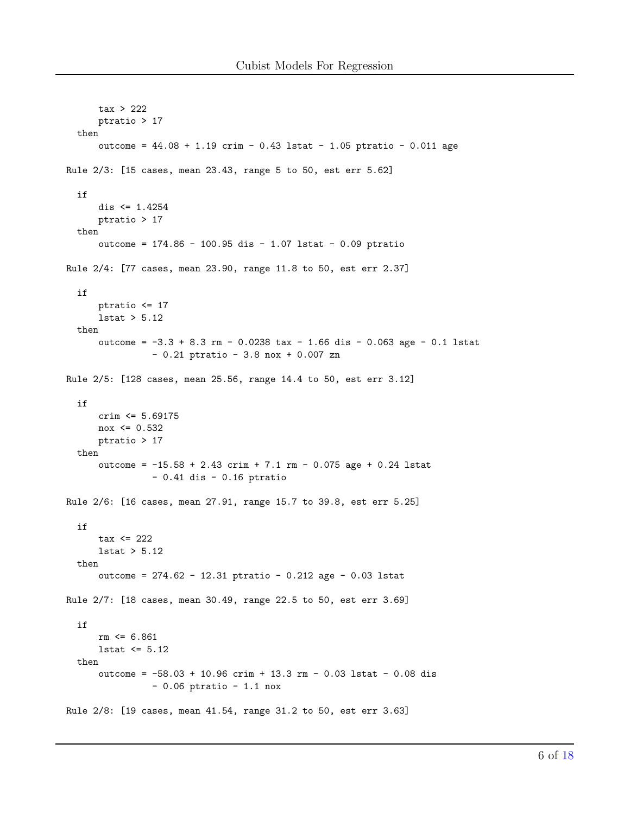```
tax > 222
      ptratio > 17
  then
      outcome = 44.08 + 1.19 crim - 0.43 lstat - 1.05 ptratio - 0.011 age
Rule 2/3: [15 cases, mean 23.43, range 5 to 50, est err 5.62]
  if
      dis <= 1.4254
      ptratio > 17
  then
      outcome = 174.86 - 100.95 dis - 1.07 lstat - 0.09 ptratio
Rule 2/4: [77 cases, mean 23.90, range 11.8 to 50, est err 2.37]
  if
      ptratio <= 17
      lstat > 5.12
  then
      outcome = -3.3 + 8.3 rm - 0.0238 tax - 1.66 dis - 0.063 age - 0.1 lstat
                - 0.21 ptratio - 3.8 nox + 0.007 zn
Rule 2/5: [128 cases, mean 25.56, range 14.4 to 50, est err 3.12]
  if
      crim <= 5.69175
      nox <= 0.532
      ptratio > 17
  then
      outcome = -15.58 + 2.43 crim + 7.1 rm - 0.075 age + 0.24 lstat
                - 0.41 dis - 0.16 ptratio
Rule 2/6: [16 cases, mean 27.91, range 15.7 to 39.8, est err 5.25]
  if
      \text{tax} \leq 2221stat > 5.12then
      outcome = 274.62 - 12.31 ptratio - 0.212 age - 0.03 lstat
Rule 2/7: [18 cases, mean 30.49, range 22.5 to 50, est err 3.69]
  if
      rm <= 6.861
      lstat <= 5.12
  then
      outcome = -58.03 + 10.96 crim + 13.3 rm - 0.03 lstat - 0.08 dis
                - 0.06 ptratio - 1.1 nox
Rule 2/8: [19 cases, mean 41.54, range 31.2 to 50, est err 3.63]
```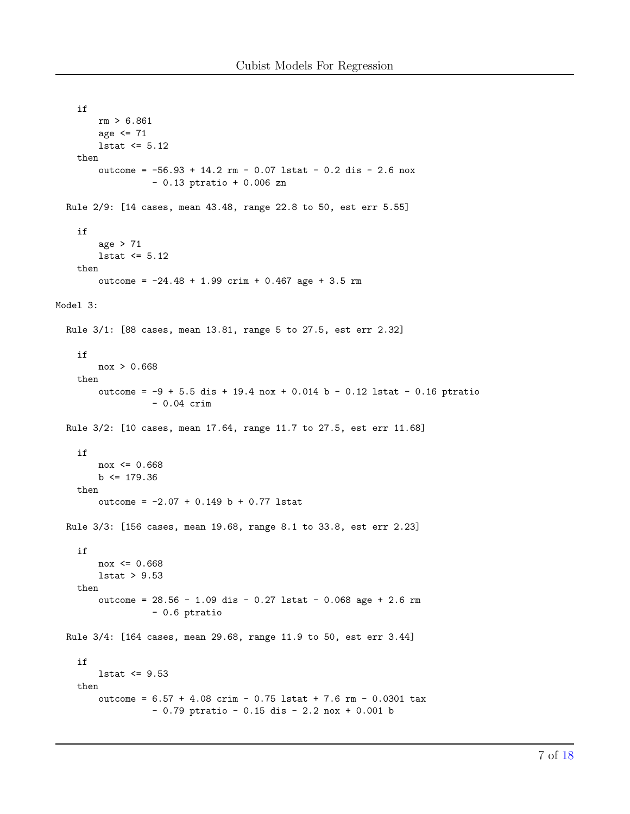```
if
        rm > 6.861
        age \leq 71lstat <= 5.12
   then
        outcome = -56.93 + 14.2 rm - 0.07 lstat - 0.2 dis - 2.6 nox
                  - 0.13 ptratio + 0.006 zn
 Rule 2/9: [14 cases, mean 43.48, range 22.8 to 50, est err 5.55]
   if
        age > 71
        lstat <= 5.12
   then
        outcome = -24.48 + 1.99 crim + 0.467 age + 3.5 rm
Model 3:
 Rule 3/1: [88 cases, mean 13.81, range 5 to 27.5, est err 2.32]
   if
       nox > 0.668
   then
        outcome = -9 + 5.5 dis + 19.4 nox + 0.014 b - 0.12 lstat - 0.16 ptratio
                  - 0.04 crim
 Rule 3/2: [10 cases, mean 17.64, range 11.7 to 27.5, est err 11.68]
   if
       _{\rm nox} <= 0.668
        b \le 179.36then
        outcome = -2.07 + 0.149 b + 0.77 lstat
 Rule 3/3: [156 cases, mean 19.68, range 8.1 to 33.8, est err 2.23]
   if
        nov \le 0.668lstat > 9.53
   then
        outcome = 28.56 - 1.09 dis - 0.27 lstat - 0.068 age + 2.6 rm
                  - 0.6 ptratio
 Rule 3/4: [164 cases, mean 29.68, range 11.9 to 50, est err 3.44]
    if
        lstat <= 9.53
   then
        outcome = 6.57 + 4.08 crim - 0.75 lstat + 7.6 rm - 0.0301 tax
                  - 0.79 ptratio - 0.15 dis - 2.2 nox + 0.001 b
```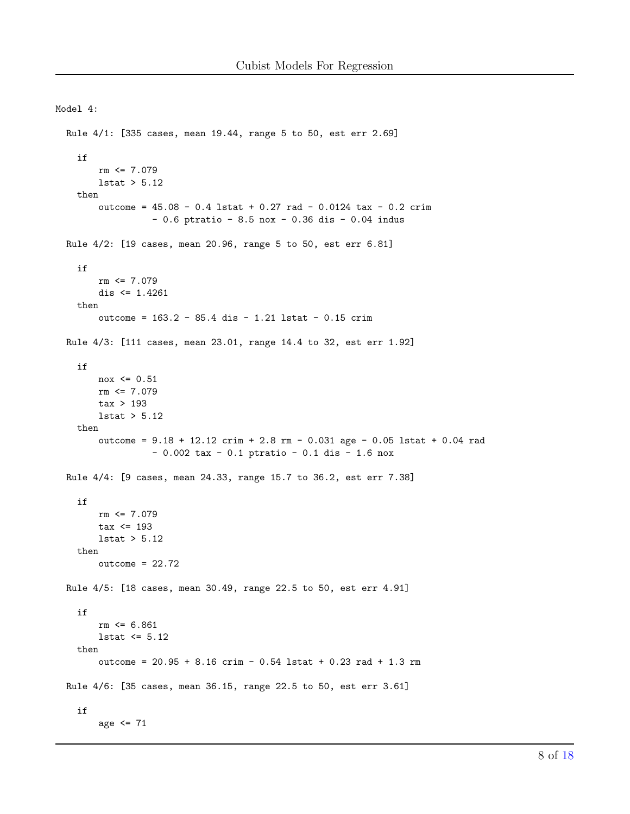Model 4:

```
Rule 4/1: [335 cases, mean 19.44, range 5 to 50, est err 2.69]
  if
      rm \leq 7.0791stat > 5.12then
      outcome = 45.08 - 0.4 lstat + 0.27 rad - 0.0124 tax - 0.2 crim
                -0.6 ptratio -8.5 nox -0.36 dis -0.04 indus
Rule 4/2: [19 cases, mean 20.96, range 5 to 50, est err 6.81]
  if
      rm \leq 7.079dis \leq 1.4261then
      outcome = 163.2 - 85.4 dis - 1.21 lstat - 0.15 crim
Rule 4/3: [111 cases, mean 23.01, range 14.4 to 32, est err 1.92]
  if
      nov \le 0.51rm = 7.079tax > 1931stat > 5.12then
      outcome = 9.18 + 12.12 crim + 2.8 rm - 0.031 age - 0.05 lstat + 0.04 rad
                -0.002 tax - 0.1 ptratio - 0.1 dis - 1.6 nox
Rule 4/4: [9 cases, mean 24.33, range 15.7 to 36.2, est err 7.38]
  if
      rm = 7.079tax \leq 1931stat > 5.12then
      outcome = 22.72Rule 4/5: [18 cases, mean 30.49, range 22.5 to 50, est err 4.91]
  if
      rm = 6.8611stat \leq 5.12then
      outcome = 20.95 + 8.16 crim - 0.54 lstat + 0.23 rad + 1.3 rm
Rule 4/6: [35 cases, mean 36.15, range 22.5 to 50, est err 3.61]
  if
      age \leq 71
```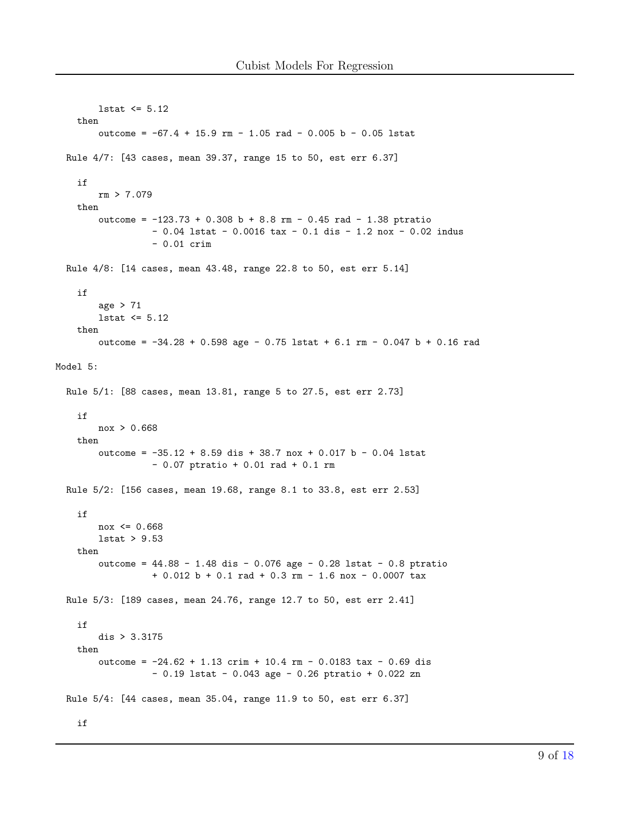```
1stat \leq 5.12then
        outcome = -67.4 + 15.9 rm - 1.05 rad - 0.005 b - 0.05 lstat
 Rule 4/7: [43 cases, mean 39.37, range 15 to 50, est err 6.37]
   if
        rm > 7.079then
        outcome = -123.73 + 0.308 b + 8.8 rm - 0.45 rad - 1.38 ptratio
                  -0.04 lstat -0.0016 tax -0.1 dis -1.2 nox -0.02 indus
                  -0.01 crim
 Rule 4/8: [14 cases, mean 43.48, range 22.8 to 50, est err 5.14]
   if
        age > 711stat \leq 5.12then
        outcome = -34.28 + 0.598 age - 0.75 lstat + 6.1 rm - 0.047 b + 0.16 rad
Model 5:
 Rule 5/1: [88 cases, mean 13.81, range 5 to 27.5, est err 2.73]
   if
        nox > 0.668
   then
        outcome = -35.12 + 8.59 dis + 38.7 nox + 0.017 b - 0.04 lstat
                  -0.07 ptratio + 0.01 rad + 0.1 rm
 Rule 5/2: [156 cases, mean 19.68, range 8.1 to 33.8, est err 2.53]
   if
        nov \le 0.6681stat > 9.53then
        outcome = 44.88 - 1.48 dis - 0.076 age - 0.28 lstat - 0.8 ptratio
                  + 0.012 b + 0.1 rad + 0.3 rm - 1.6 nox - 0.0007 tax
 Rule 5/3: [189 cases, mean 24.76, range 12.7 to 50, est err 2.41]
   if
        dis > 3.3175then
        outcome = -24.62 + 1.13 crim + 10.4 rm - 0.0183 tax - 0.69 dis
                  -0.19 lstat - 0.043 age - 0.26 ptratio + 0.022 zn
 Rule 5/4: [44 cases, mean 35.04, range 11.9 to 50, est err 6.37]
    \mathtt{if}
```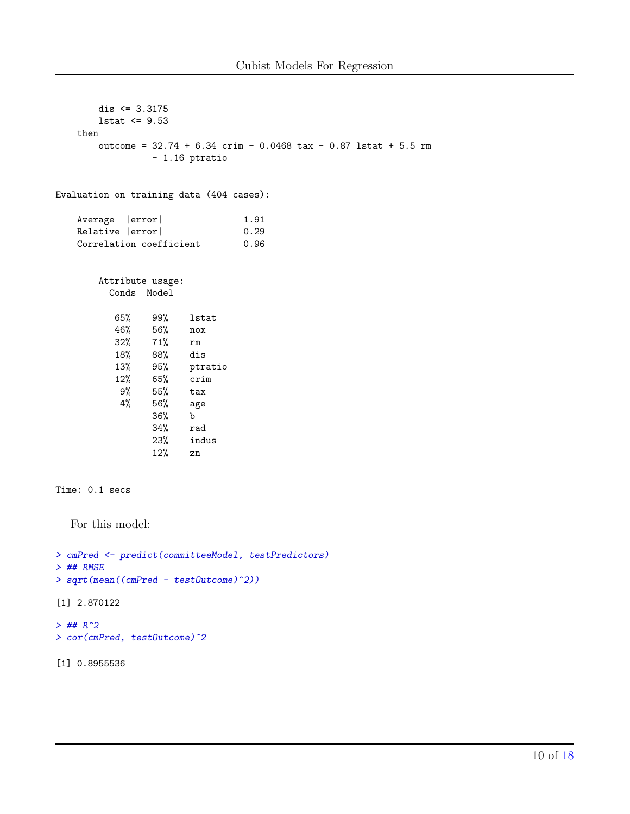| dis $\leq 3.3175$                                                  |                     |                 |      |  |                                                                  |  |
|--------------------------------------------------------------------|---------------------|-----------------|------|--|------------------------------------------------------------------|--|
| 1stat $\leq$ 9.53                                                  |                     |                 |      |  |                                                                  |  |
| then                                                               |                     |                 |      |  |                                                                  |  |
|                                                                    |                     |                 |      |  | outcome = $32.74 + 6.34$ crim - 0.0468 tax - 0.87 lstat + 5.5 rm |  |
|                                                                    |                     | - 1.16 ptratio  |      |  |                                                                  |  |
|                                                                    |                     |                 |      |  |                                                                  |  |
| Evaluation on training data (404 cases):                           |                     |                 |      |  |                                                                  |  |
| Average   error                                                    |                     |                 | 1.91 |  |                                                                  |  |
| Relative   error                                                   |                     |                 | 0.29 |  |                                                                  |  |
| Correlation coefficient                                            |                     |                 | 0.96 |  |                                                                  |  |
|                                                                    |                     |                 |      |  |                                                                  |  |
|                                                                    |                     |                 |      |  |                                                                  |  |
|                                                                    | Attribute usage:    |                 |      |  |                                                                  |  |
|                                                                    | Conds Model         |                 |      |  |                                                                  |  |
|                                                                    |                     | <b>lstat</b>    |      |  |                                                                  |  |
|                                                                    | 65% 99%             | nox             |      |  |                                                                  |  |
|                                                                    | 46% 56%<br>32% 71%  | rm              |      |  |                                                                  |  |
|                                                                    | $18% \t 88% \t dis$ |                 |      |  |                                                                  |  |
|                                                                    |                     | 13% 95% ptratio |      |  |                                                                  |  |
|                                                                    | 12% 65% crim        |                 |      |  |                                                                  |  |
|                                                                    | 9% 55% tax          |                 |      |  |                                                                  |  |
| 4%                                                                 | 56%                 | age             |      |  |                                                                  |  |
|                                                                    | $36\%$              | $\mathbf{b}$    |      |  |                                                                  |  |
|                                                                    | 34%                 | rad             |      |  |                                                                  |  |
|                                                                    | 23%                 | indus           |      |  |                                                                  |  |
|                                                                    | 12%                 | zn              |      |  |                                                                  |  |
|                                                                    |                     |                 |      |  |                                                                  |  |
|                                                                    |                     |                 |      |  |                                                                  |  |
| Time: 0.1 secs                                                     |                     |                 |      |  |                                                                  |  |
|                                                                    |                     |                 |      |  |                                                                  |  |
| For this model:                                                    |                     |                 |      |  |                                                                  |  |
|                                                                    |                     |                 |      |  |                                                                  |  |
|                                                                    |                     |                 |      |  |                                                                  |  |
| > cmPred <- predict(committeeModel, testPredictors)<br>$>$ ## RMSE |                     |                 |      |  |                                                                  |  |
| > sqrt(mean((cmPred - testOutcome)^2))                             |                     |                 |      |  |                                                                  |  |
|                                                                    |                     |                 |      |  |                                                                  |  |

[1] 2.870122

```
> ## R^2
> cor(cmPred, testOutcome)^2
```
[1] 0.8955536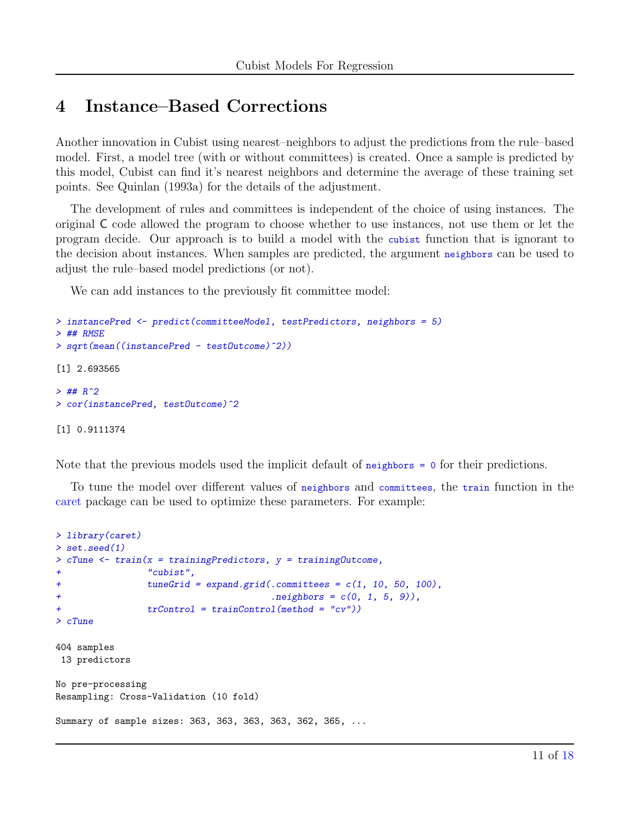### 4 Instance–Based Corrections

Another innovation in Cubist using nearest–neighbors to adjust the predictions from the rule–based model. First, a model tree (with or without committees) is created. Once a sample is predicted by this model, Cubist can find it's nearest neighbors and determine the average of these training set points. See Quinlan (1993a) for the details of the adjustment.

The development of rules and committees is independent of the choice of using instances. The original C code allowed the program to choose whether to use instances, not use them or let the program decide. Our approach is to build a model with the cubist function that is ignorant to the decision about instances. When samples are predicted, the argument neighbors can be used to adjust the rule–based model predictions (or not).

We can add instances to the previously fit committee model:

```
> instancePred <- predict(committeeModel, testPredictors, neighbors = 5)
> ## RMSE
> sqrt(mean((instancePred - testOutcome)^2))
[1] 2.693565
> ## R^2> cor(instancePred, testOutcome)^2
[1] 0.9111374
```
Note that the previous models used the implicit default of neighbors = 0 for their predictions.

To tune the model over different values of neighbors and committees, the train function in the [caret](http://cran.r-project.org/web/packages/caret/index.html) package can be used to optimize these parameters. For example:

```
> library(caret)
> set.seed(1)
> cTune <- train(x = trainingPredictors, y = trainingOutcome,
               " cubist",
+ tuneGrid = expand.grid(.committees = c(1, 10, 50, 100),
+ .neighbors = c(0, 1, 5, 9)),
+ trControl = trainControl(method = "cv"))
> cTune
404 samples
13 predictors
No pre-processing
Resampling: Cross-Validation (10 fold)
Summary of sample sizes: 363, 363, 363, 363, 362, 365, ...
```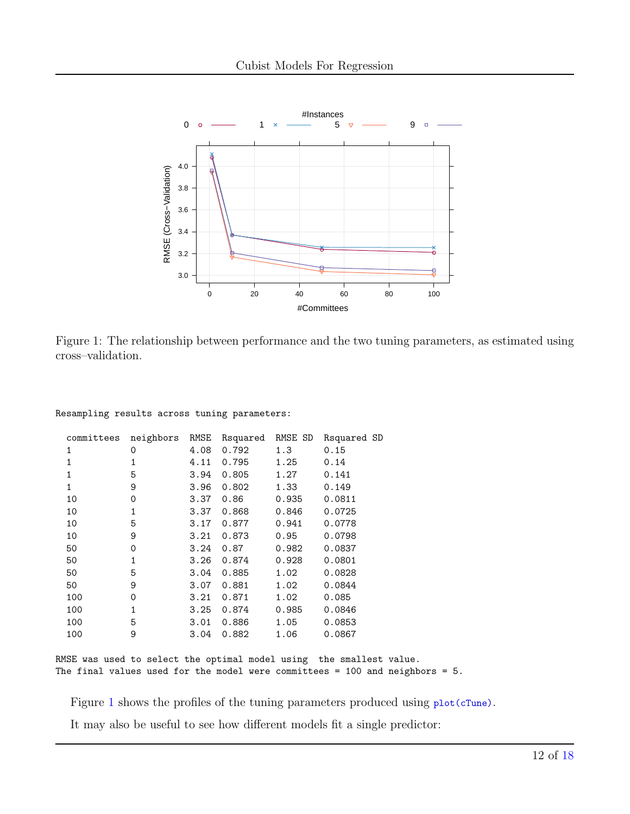

<span id="page-11-0"></span>Figure 1: The relationship between performance and the two tuning parameters, as estimated using cross–validation.

| committees   | neighbors | RMSE | Rsquared | RMSE SD | Rsquared SD |
|--------------|-----------|------|----------|---------|-------------|
| 1            | 0         | 4.08 | 0.792    | 1.3     | 0.15        |
| $\mathbf{1}$ | 1         | 4.11 | 0.795    | 1.25    | 0.14        |
| 1            | 5         | 3.94 | 0.805    | 1.27    | 0.141       |
| $\mathbf{1}$ | 9         | 3.96 | 0.802    | 1.33    | 0.149       |
| 10           | 0         | 3.37 | 0.86     | 0.935   | 0.0811      |
| 10           | 1         | 3.37 | 0.868    | 0.846   | 0.0725      |
| 10           | 5         | 3.17 | 0.877    | 0.941   | 0.0778      |
| 10           | 9         | 3.21 | 0.873    | 0.95    | 0.0798      |
| 50           | 0         | 3.24 | 0.87     | 0.982   | 0.0837      |
| 50           | 1         | 3.26 | 0.874    | 0.928   | 0.0801      |
| 50           | 5         | 3.04 | 0.885    | 1.02    | 0.0828      |
| 50           | 9         | 3.07 | 0.881    | 1.02    | 0.0844      |
| 100          | 0         | 3.21 | 0.871    | 1.02    | 0.085       |
| 100          | 1         | 3.25 | 0.874    | 0.985   | 0.0846      |
| 100          | 5         | 3.01 | 0.886    | 1.05    | 0.0853      |
| 100          | 9         | 3.04 | 0.882    | 1.06    | 0.0867      |

Resampling results across tuning parameters:

RMSE was used to select the optimal model using the smallest value. The final values used for the model were committees = 100 and neighbors =  $5$ .

Figure [1](#page-11-0) shows the profiles of the tuning parameters produced using  $plot(cTune)$ .

It may also be useful to see how different models fit a single predictor: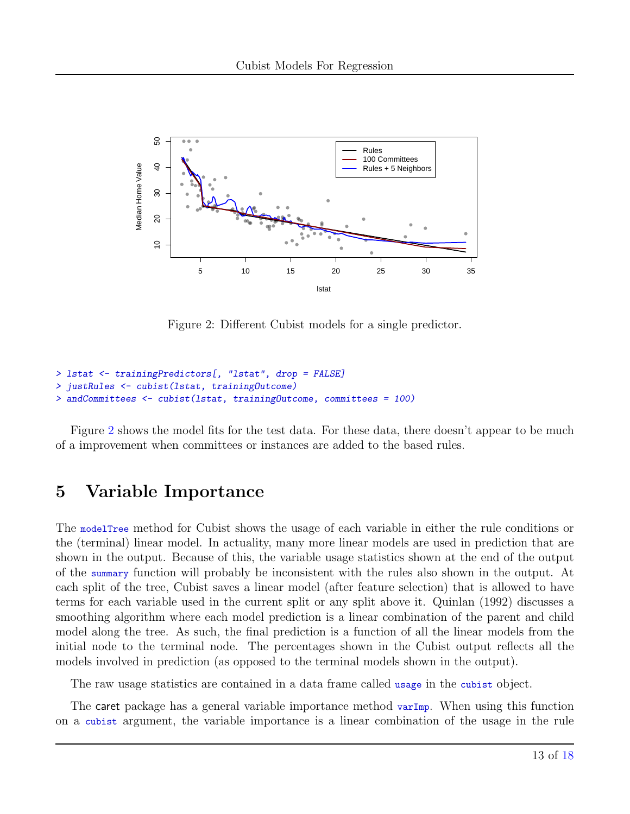

<span id="page-12-0"></span>Figure 2: Different Cubist models for a single predictor.

```
> lstat <- trainingPredictors[, "lstat", drop = FALSE]
> justRules <- cubist(lstat, trainingOutcome)
> andCommittees <- cubist(lstat, trainingOutcome, committees = 100)
```
Figure [2](#page-12-0) shows the model fits for the test data. For these data, there doesn't appear to be much of a improvement when committees or instances are added to the based rules.

### 5 Variable Importance

The modelTree method for Cubist shows the usage of each variable in either the rule conditions or the (terminal) linear model. In actuality, many more linear models are used in prediction that are shown in the output. Because of this, the variable usage statistics shown at the end of the output of the summary function will probably be inconsistent with the rules also shown in the output. At each split of the tree, Cubist saves a linear model (after feature selection) that is allowed to have terms for each variable used in the current split or any split above it. Quinlan (1992) discusses a smoothing algorithm where each model prediction is a linear combination of the parent and child model along the tree. As such, the final prediction is a function of all the linear models from the initial node to the terminal node. The percentages shown in the Cubist output reflects all the models involved in prediction (as opposed to the terminal models shown in the output).

The raw usage statistics are contained in a data frame called usage in the cubist object.

The caret package has a general variable importance method varImp. When using this function on a cubist argument, the variable importance is a linear combination of the usage in the rule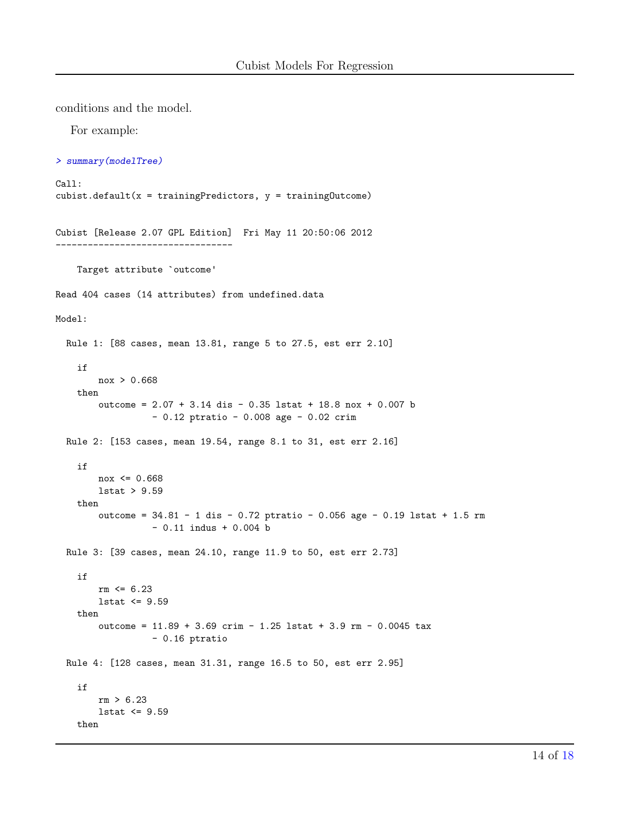conditions and the model.

For example:

```
> summary(modelTree)
```

```
Call:
cubist.default(x = trainingPredictors, y = trainingOuter)Cubist [Release 2.07 GPL Edition] Fri May 11 20:50:06 2012
---------------------------------
   Target attribute `outcome'
Read 404 cases (14 attributes) from undefined.data
Model:
 Rule 1: [88 cases, mean 13.81, range 5 to 27.5, est err 2.10]
   if
        nox > 0.668
   then
        outcome = 2.07 + 3.14 dis - 0.35 lstat + 18.8 nox + 0.007 b
                  - 0.12 ptratio - 0.008 age - 0.02 crim
 Rule 2: [153 cases, mean 19.54, range 8.1 to 31, est err 2.16]
   if
       nov \le 0.668lstat > 9.59
   then
        outcome = 34.81 - 1 dis - 0.72 ptratio - 0.056 age - 0.19 lstat + 1.5 rm
                  - 0.11 indus + 0.004 b
 Rule 3: [39 cases, mean 24.10, range 11.9 to 50, est err 2.73]
   if
        rm \leq 6.23lstat \leq 9.59then
        outcome = 11.89 + 3.69 crim - 1.25 lstat + 3.9 rm - 0.0045 tax
                 - 0.16 ptratio
 Rule 4: [128 cases, mean 31.31, range 16.5 to 50, est err 2.95]
   if
        rm > 6.23
        lstat <= 9.59
   then
```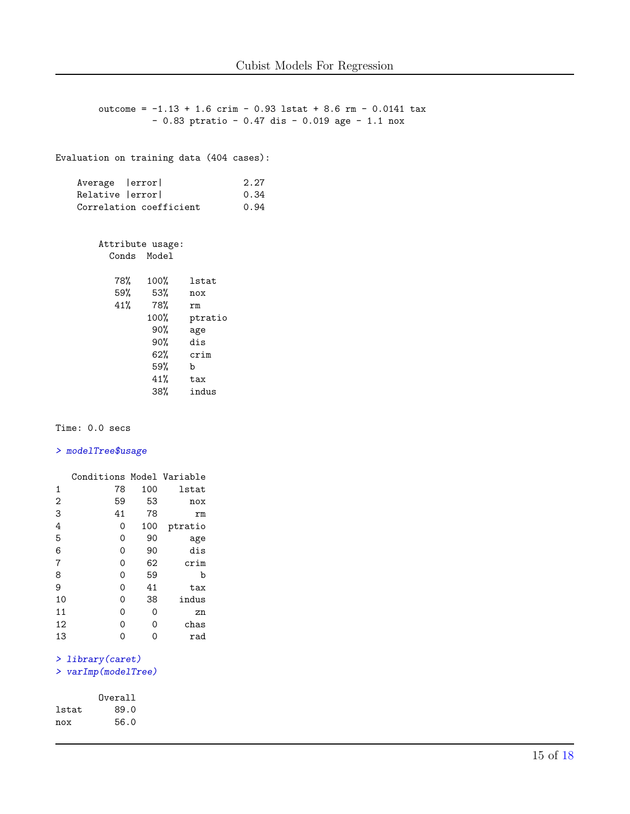```
outcome = -1.13 + 1.6 crim - 0.93 lstat + 8.6 rm - 0.0141 tax
               - 0.83 ptratio - 0.47 dis - 0.019 age - 1.1 nox
Evaluation on training data (404 cases):
   Average | error| 2.27
   Relative | error| 0.34
   Correlation coefficient 0.94
      Attribute usage:
        Conds Model
         78% 100% lstat
         59% 53% nox
               41% 78% rm
              100% ptratio
               90% age
               90% dis
               62% crim
               59% b
               41% tax
               38% indus
```
Time: 0.0 secs

#### > modelTree\$usage

|                | Conditions Model Variable |     |         |
|----------------|---------------------------|-----|---------|
| 1              | 78                        | 100 | lstat   |
| $\overline{2}$ | 59                        | 53  | nox     |
| 3              | 41                        | 78  | rm      |
| 4              | 0                         | 100 | ptratio |
| 5              | 0                         | 90  | age     |
| 6              | 0                         | 90  | dis     |
| 7              | 0                         | 62  | crim    |
| 8              | 0                         | 59  | b       |
| 9              | 0                         | 41  | tax     |
| 10             | 0                         | 38  | indus   |
| 11             | 0                         | 0   | zn      |
| 12             | 0                         | 0   | chas    |
| 13             | ი                         | ი   | rad     |

#### > library(caret)

```
> varImp(modelTree)
```

|       | Overall |
|-------|---------|
| lstat | 89.0    |
| nox   | 56.0    |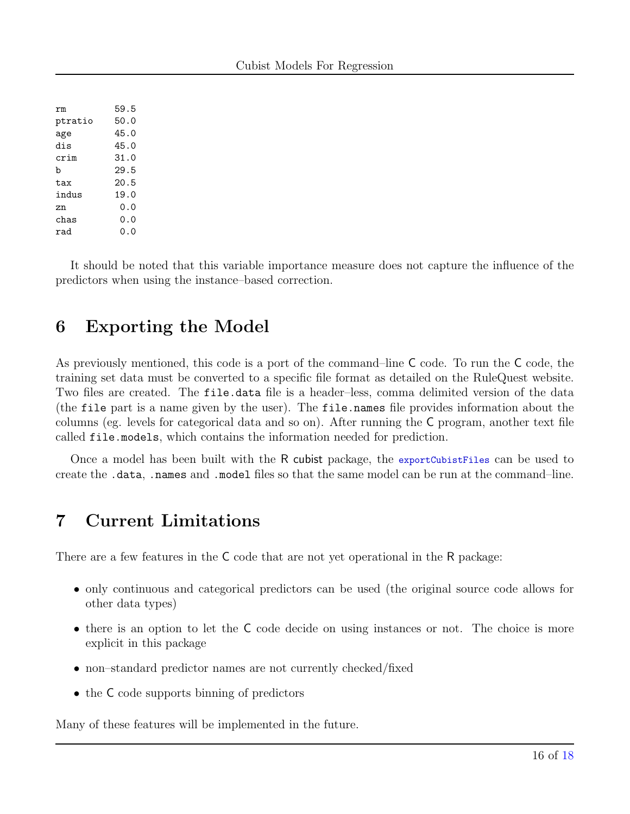| rm      | 59.5  |
|---------|-------|
| ptratio | 50.0  |
| age     | 45.0  |
| dis     | 45.0  |
| crim    | 31.0  |
| b       | 29.5  |
| tax     | 20.5  |
| indus   | 19.0  |
| zn      | ი. ი  |
| chas    | ი. ი  |
| rad     | ი . ი |

It should be noted that this variable importance measure does not capture the influence of the predictors when using the instance–based correction.

## 6 Exporting the Model

As previously mentioned, this code is a port of the command–line C code. To run the C code, the training set data must be converted to a specific file format as detailed on the RuleQuest website. Two files are created. The file.data file is a header–less, comma delimited version of the data (the file part is a name given by the user). The file.names file provides information about the columns (eg. levels for categorical data and so on). After running the C program, another text file called file.models, which contains the information needed for prediction.

Once a model has been built with the R cubist package, the exportCubistFiles can be used to create the .data, .names and .model files so that the same model can be run at the command–line.

# 7 Current Limitations

There are a few features in the C code that are not yet operational in the R package:

- only continuous and categorical predictors can be used (the original source code allows for other data types)
- there is an option to let the C code decide on using instances or not. The choice is more explicit in this package
- non–standard predictor names are not currently checked/fixed
- the C code supports binning of predictors

Many of these features will be implemented in the future.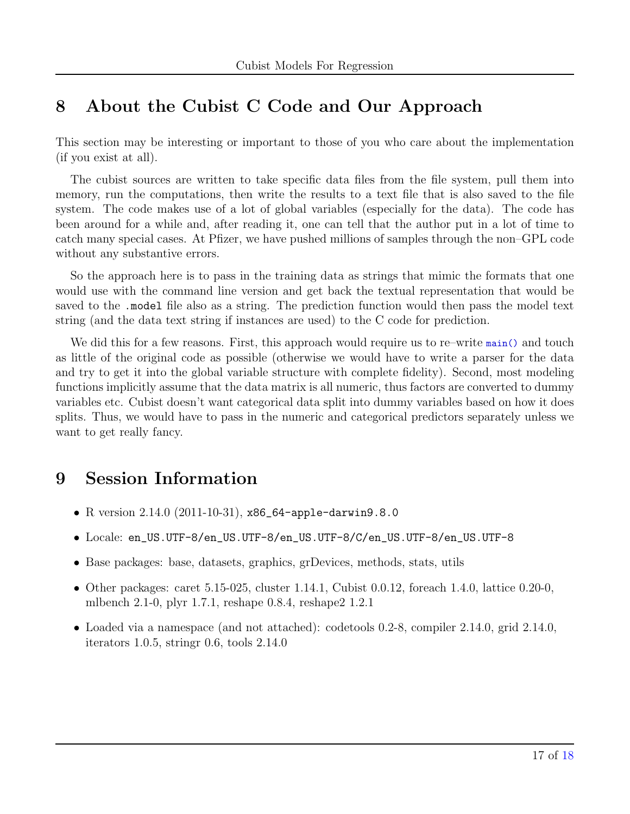## 8 About the Cubist C Code and Our Approach

This section may be interesting or important to those of you who care about the implementation (if you exist at all).

The cubist sources are written to take specific data files from the file system, pull them into memory, run the computations, then write the results to a text file that is also saved to the file system. The code makes use of a lot of global variables (especially for the data). The code has been around for a while and, after reading it, one can tell that the author put in a lot of time to catch many special cases. At Pfizer, we have pushed millions of samples through the non–GPL code without any substantive errors.

So the approach here is to pass in the training data as strings that mimic the formats that one would use with the command line version and get back the textual representation that would be saved to the .model file also as a string. The prediction function would then pass the model text string (and the data text string if instances are used) to the C code for prediction.

We did this for a few reasons. First, this approach would require us to re–write main() and touch as little of the original code as possible (otherwise we would have to write a parser for the data and try to get it into the global variable structure with complete fidelity). Second, most modeling functions implicitly assume that the data matrix is all numeric, thus factors are converted to dummy variables etc. Cubist doesn't want categorical data split into dummy variables based on how it does splits. Thus, we would have to pass in the numeric and categorical predictors separately unless we want to get really fancy.

# 9 Session Information

- R version 2.14.0 (2011-10-31), x86\_64-apple-darwin9.8.0
- Locale: en\_US.UTF-8/en\_US.UTF-8/en\_US.UTF-8/C/en\_US.UTF-8/en\_US.UTF-8
- Base packages: base, datasets, graphics, grDevices, methods, stats, utils
- Other packages: caret  $5.15-025$ , cluster  $1.14.1$ , Cubist  $0.0.12$ , foreach  $1.4.0$ , lattice  $0.20-0$ , mlbench 2.1-0, plyr 1.7.1, reshape 0.8.4, reshape2 1.2.1
- Loaded via a namespace (and not attached): codetools 0.2-8, compiler 2.14.0, grid 2.14.0, iterators 1.0.5, stringr 0.6, tools 2.14.0